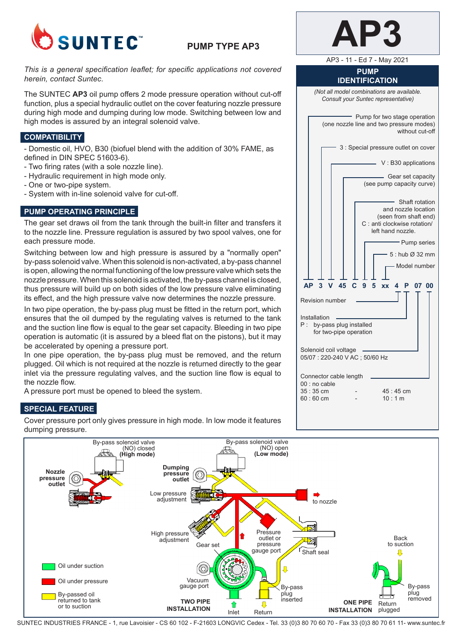

# **PUMP TYPE AP3**

### *This is a general specification leaflet; for specific applications not covered herein, contact Suntec.*

The SUNTEC **AP3** oil pump offers 2 mode pressure operation without cut-off function, plus a special hydraulic outlet on the cover featuring nozzle pressure during high mode and dumping during low mode. Switching between low and high modes is assured by an integral solenoid valve.

### **COMPATIBILITY**

- Domestic oil, HVO, B30 (biofuel blend with the addition of 30% FAME, as defined in DIN SPEC 51603-6).

- Two firing rates (with a sole nozzle line).
- Hydraulic requirement in high mode only.
- One or two-pipe system.
- System with in-line solenoid valve for cut-off.

# **PUMP OPERATING PRINCIPLE**

The gear set draws oil from the tank through the built-in filter and transfers it to the nozzle line. Pressure regulation is assured by two spool valves, one for each pressure mode.

Switching between low and high pressure is assured by a "normally open" by-pass solenoid valve. When this solenoid is non-activated, a by-pass channel is open, allowing the normal functioning of the low pressure valve which sets the nozzle pressure. When this solenoid is activated, the by-pass channel is closed, thus pressure will build up on both sides of the low pressure valve eliminating its effect, and the high pressure valve now determines the nozzle pressure.

In two pipe operation, the by-pass plug must be fitted in the return port, which ensures that the oil dumped by the regulating valves is returned to the tank and the suction line flow is equal to the gear set capacity. Bleeding in two pipe operation is automatic (it is assured by a bleed flat on the pistons), but it may be accelerated by opening a pressure port.

In one pipe operation, the by-pass plug must be removed, and the return plugged. Oil which is not required at the nozzle is returned directly to the gear inlet via the pressure regulating valves, and the suction line flow is equal to the nozzle flow.

A pressure port must be opened to bleed the system.

# **SPECIAL FEATURE**

Cover pressure port only gives pressure in high mode. In low mode it features dumping pressure.

| V. | L |
|----|---|
|    |   |

AP3 - 11 - Ed 7 - May 2021

**PUMP IDENTIFICATION**

*(Not all model combinations are available. Consult your Suntec representative)*

Pump for two stage operation (one nozzle line and two pressure modes) without cut-off 3 : Special pressure outlet on cover  $\sim$  V : B30 applications Gear set capacity (see pump capacity curve) Shaft rotation and nozzle location (seen from shaft end) C : anti clockwise rotation/ left hand nozzle. Pump series 5 : hub Ø 32 mm Model number  **AP 3 V 45 C 9 5 xx 4 P 07 00**  Revision number Installation P : by-pass plug installed for two-pipe operation Solenoid coil voltage 05/07 : 220-240 V AC ; 50/60 Hz Connector cable length 00 : no cable  $35 \cdot 35 \text{ cm}$  - 45  $45 \text{ cm}$  $60 \cdot 60 \text{ cm}$  - 10 1 m



SUNTEC INDUSTRIES FRANCE - 1, rue Lavoisier - CS 60 102 - F-21603 LONGVIC Cedex - Tel. 33 (0)3 80 70 60 70 - Fax 33 (0)3 80 70 61 11- www.suntec.fr